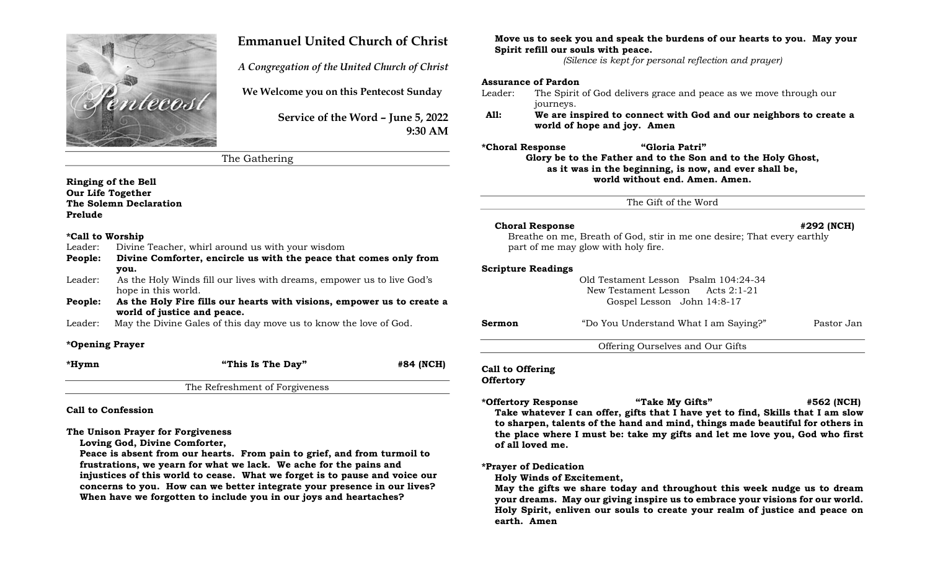

# Emmanuel United Church of Christ

A Congregation of the United Church of Christ

We Welcome you on this Pentecost Sunday

Service of the Word – June 5, 2022 9:30 AM

The Gathering

Ringing of the Bell Our Life Together The Solemn Declaration Prelude

### \*Call to Worship

|  | Leader: |  |  |  |  |  | Divine Teacher, whirl around us with your wisdom |
|--|---------|--|--|--|--|--|--------------------------------------------------|
|--|---------|--|--|--|--|--|--------------------------------------------------|

- People: Divine Comforter, encircle us with the peace that comes only from you.
- Leader: As the Holy Winds fill our lives with dreams, empower us to live God's hope in this world.
- People: As the Holy Fire fills our hearts with visions, empower us to create a world of justice and peace.
- Leader: May the Divine Gales of this day move us to know the love of God.

### \*Opening Prayer

| *Hymn | "This Is The Day" | #84 (NCH) |
|-------|-------------------|-----------|
|       |                   |           |

The Refreshment of Forgiveness

Call to Confession

The Unison Prayer for Forgiveness

Loving God, Divine Comforter,

Peace is absent from our hearts. From pain to grief, and from turmoil to frustrations, we yearn for what we lack. We ache for the pains and injustices of this world to cease. What we forget is to pause and voice our concerns to you. How can we better integrate your presence in our lives? When have we forgotten to include you in our joys and heartaches?

Move us to seek you and speak the burdens of our hearts to you. May your Spirit refill our souls with peace.

(Silence is kept for personal reflection and prayer)

### Assurance of Pardon

Leader: The Spirit of God delivers grace and peace as we move through our journeys.

All: We are inspired to connect with God and our neighbors to create a world of hope and joy. Amen

\*Choral Response "Gloria Patri" Glory be to the Father and to the Son and to the Holy Ghost, as it was in the beginning, is now, and ever shall be, world without end. Amen. Amen.

The Gift of the Word

### Choral Response  $\#292$  (NCH)

Breathe on me, Breath of God, stir in me one desire; That every earthly part of me may glow with holy fire.

### Scripture Readings

Old Testament Lesson Psalm 104:24-34 New Testament Lesson Acts 2:1-21 Gospel Lesson John 14:8-17

| Sermon | "Do You Understand What I am Saying?" | Pastor Jan |
|--------|---------------------------------------|------------|
|        | Offering Ourselves and Our Gifts      |            |

# Call to Offering

**Offertory** 

\*Offertory Response "Take My Gifts" #562 (NCH) Take whatever I can offer, gifts that I have yet to find, Skills that I am slow to sharpen, talents of the hand and mind, things made beautiful for others in the place where I must be: take my gifts and let me love you, God who first of all loved me.

## \*Prayer of Dedication

Holy Winds of Excitement,

May the gifts we share today and throughout this week nudge us to dream your dreams. May our giving inspire us to embrace your visions for our world. Holy Spirit, enliven our souls to create your realm of justice and peace on earth. Amen